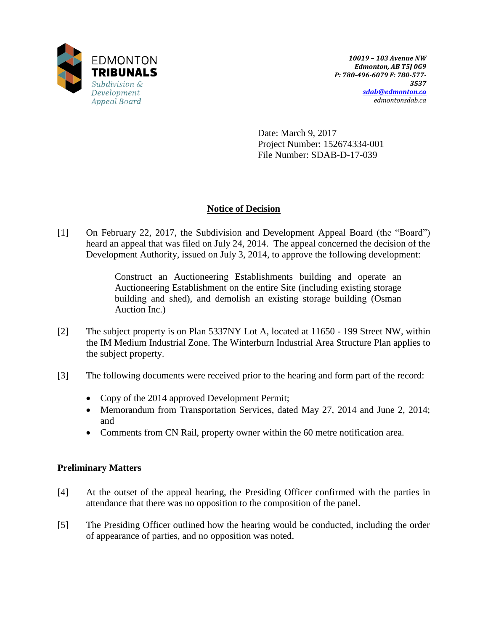

Date: March 9, 2017 Project Number: 152674334-001 File Number: SDAB-D-17-039

# **Notice of Decision**

[1] On February 22, 2017, the Subdivision and Development Appeal Board (the "Board") heard an appeal that was filed on July 24, 2014. The appeal concerned the decision of the Development Authority, issued on July 3, 2014, to approve the following development:

> Construct an Auctioneering Establishments building and operate an Auctioneering Establishment on the entire Site (including existing storage building and shed), and demolish an existing storage building (Osman Auction Inc.)

- [2] The subject property is on Plan 5337NY Lot A, located at 11650 199 Street NW, within the IM Medium Industrial Zone. The Winterburn Industrial Area Structure Plan applies to the subject property.
- [3] The following documents were received prior to the hearing and form part of the record:
	- Copy of the 2014 approved Development Permit;
	- Memorandum from Transportation Services, dated May 27, 2014 and June 2, 2014; and
	- Comments from CN Rail, property owner within the 60 metre notification area.

# **Preliminary Matters**

- [4] At the outset of the appeal hearing, the Presiding Officer confirmed with the parties in attendance that there was no opposition to the composition of the panel.
- [5] The Presiding Officer outlined how the hearing would be conducted, including the order of appearance of parties, and no opposition was noted.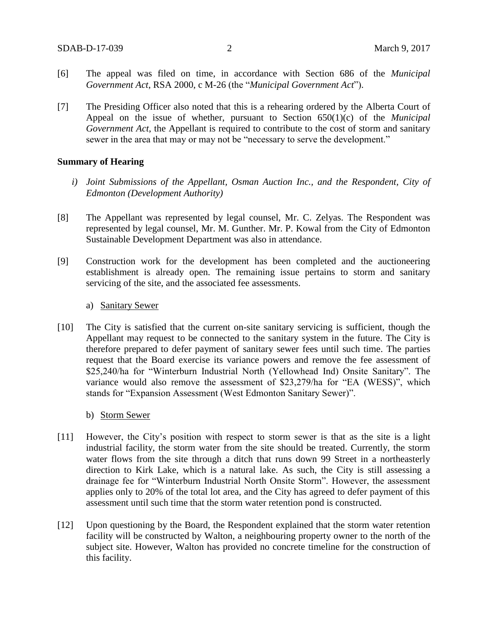- [6] The appeal was filed on time, in accordance with Section 686 of the *Municipal Government Act*, RSA 2000, c M-26 (the "*Municipal Government Act*").
- [7] The Presiding Officer also noted that this is a rehearing ordered by the Alberta Court of Appeal on the issue of whether, pursuant to Section 650(1)(c) of the *Municipal Government Act*, the Appellant is required to contribute to the cost of storm and sanitary sewer in the area that may or may not be "necessary to serve the development."

#### **Summary of Hearing**

- *i) Joint Submissions of the Appellant, Osman Auction Inc., and the Respondent, City of Edmonton (Development Authority)*
- [8] The Appellant was represented by legal counsel, Mr. C. Zelyas. The Respondent was represented by legal counsel, Mr. M. Gunther. Mr. P. Kowal from the City of Edmonton Sustainable Development Department was also in attendance.
- [9] Construction work for the development has been completed and the auctioneering establishment is already open. The remaining issue pertains to storm and sanitary servicing of the site, and the associated fee assessments.

### a) Sanitary Sewer

[10] The City is satisfied that the current on-site sanitary servicing is sufficient, though the Appellant may request to be connected to the sanitary system in the future. The City is therefore prepared to defer payment of sanitary sewer fees until such time. The parties request that the Board exercise its variance powers and remove the fee assessment of \$25,240/ha for "Winterburn Industrial North (Yellowhead Ind) Onsite Sanitary". The variance would also remove the assessment of \$23,279/ha for "EA (WESS)", which stands for "Expansion Assessment (West Edmonton Sanitary Sewer)".

#### b) Storm Sewer

- [11] However, the City's position with respect to storm sewer is that as the site is a light industrial facility, the storm water from the site should be treated. Currently, the storm water flows from the site through a ditch that runs down 99 Street in a northeasterly direction to Kirk Lake, which is a natural lake. As such, the City is still assessing a drainage fee for "Winterburn Industrial North Onsite Storm". However, the assessment applies only to 20% of the total lot area, and the City has agreed to defer payment of this assessment until such time that the storm water retention pond is constructed.
- [12] Upon questioning by the Board, the Respondent explained that the storm water retention facility will be constructed by Walton, a neighbouring property owner to the north of the subject site. However, Walton has provided no concrete timeline for the construction of this facility.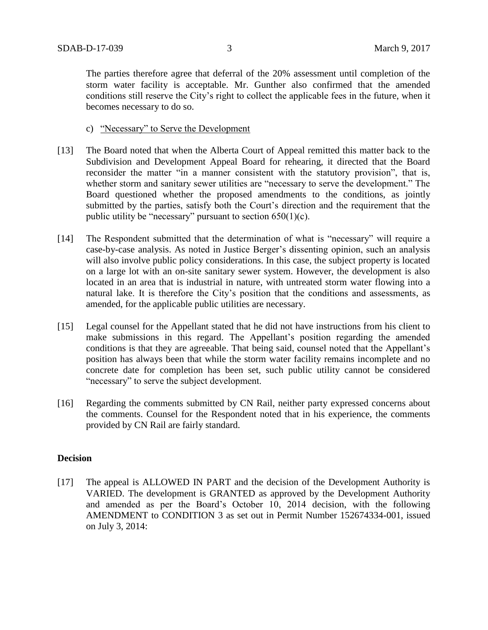The parties therefore agree that deferral of the 20% assessment until completion of the storm water facility is acceptable. Mr. Gunther also confirmed that the amended conditions still reserve the City's right to collect the applicable fees in the future, when it becomes necessary to do so.

- c) "Necessary" to Serve the Development
- [13] The Board noted that when the Alberta Court of Appeal remitted this matter back to the Subdivision and Development Appeal Board for rehearing, it directed that the Board reconsider the matter "in a manner consistent with the statutory provision", that is, whether storm and sanitary sewer utilities are "necessary to serve the development." The Board questioned whether the proposed amendments to the conditions, as jointly submitted by the parties, satisfy both the Court's direction and the requirement that the public utility be "necessary" pursuant to section  $650(1)(c)$ .
- [14] The Respondent submitted that the determination of what is "necessary" will require a case-by-case analysis. As noted in Justice Berger's dissenting opinion, such an analysis will also involve public policy considerations. In this case, the subject property is located on a large lot with an on-site sanitary sewer system. However, the development is also located in an area that is industrial in nature, with untreated storm water flowing into a natural lake. It is therefore the City's position that the conditions and assessments, as amended, for the applicable public utilities are necessary.
- [15] Legal counsel for the Appellant stated that he did not have instructions from his client to make submissions in this regard. The Appellant's position regarding the amended conditions is that they are agreeable. That being said, counsel noted that the Appellant's position has always been that while the storm water facility remains incomplete and no concrete date for completion has been set, such public utility cannot be considered "necessary" to serve the subject development.
- [16] Regarding the comments submitted by CN Rail, neither party expressed concerns about the comments. Counsel for the Respondent noted that in his experience, the comments provided by CN Rail are fairly standard.

## **Decision**

[17] The appeal is ALLOWED IN PART and the decision of the Development Authority is VARIED. The development is GRANTED as approved by the Development Authority and amended as per the Board's October 10, 2014 decision, with the following AMENDMENT to CONDITION 3 as set out in Permit Number 152674334-001, issued on July 3, 2014: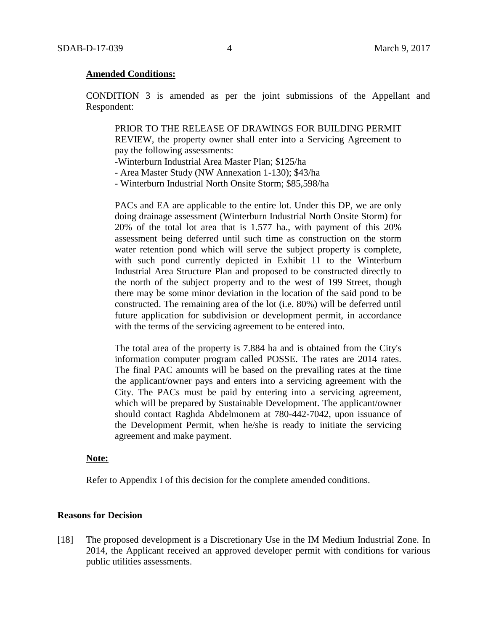#### **Amended Conditions:**

CONDITION 3 is amended as per the joint submissions of the Appellant and Respondent:

PRIOR TO THE RELEASE OF DRAWINGS FOR BUILDING PERMIT REVIEW, the property owner shall enter into a Servicing Agreement to pay the following assessments:

-Winterburn Industrial Area Master Plan; \$125/ha

- Area Master Study (NW Annexation 1-130); \$43/ha

- Winterburn Industrial North Onsite Storm; \$85,598/ha

PACs and EA are applicable to the entire lot. Under this DP, we are only doing drainage assessment (Winterburn Industrial North Onsite Storm) for 20% of the total lot area that is 1.577 ha., with payment of this 20% assessment being deferred until such time as construction on the storm water retention pond which will serve the subject property is complete, with such pond currently depicted in Exhibit 11 to the Winterburn Industrial Area Structure Plan and proposed to be constructed directly to the north of the subject property and to the west of 199 Street, though there may be some minor deviation in the location of the said pond to be constructed. The remaining area of the lot (i.e. 80%) will be deferred until future application for subdivision or development permit, in accordance with the terms of the servicing agreement to be entered into.

The total area of the property is 7.884 ha and is obtained from the City's information computer program called POSSE. The rates are 2014 rates. The final PAC amounts will be based on the prevailing rates at the time the applicant/owner pays and enters into a servicing agreement with the City. The PACs must be paid by entering into a servicing agreement, which will be prepared by Sustainable Development. The applicant/owner should contact Raghda Abdelmonem at 780-442-7042, upon issuance of the Development Permit, when he/she is ready to initiate the servicing agreement and make payment.

#### **Note:**

Refer to Appendix I of this decision for the complete amended conditions.

#### **Reasons for Decision**

[18] The proposed development is a Discretionary Use in the IM Medium Industrial Zone. In 2014, the Applicant received an approved developer permit with conditions for various public utilities assessments.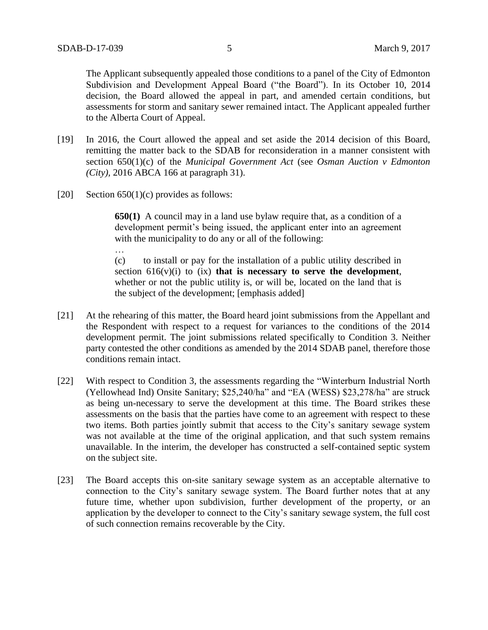The Applicant subsequently appealed those conditions to a panel of the City of Edmonton Subdivision and Development Appeal Board ("the Board"). In its October 10, 2014 decision, the Board allowed the appeal in part, and amended certain conditions, but assessments for storm and sanitary sewer remained intact. The Applicant appealed further to the Alberta Court of Appeal.

- [19] In 2016, the Court allowed the appeal and set aside the 2014 decision of this Board, remitting the matter back to the SDAB for reconsideration in a manner consistent with section 650(1)(c) of the *Municipal Government Act* (see *Osman Auction v Edmonton (City),* 2016 ABCA 166 at paragraph 31).
- [20] Section  $650(1)(c)$  provides as follows:

…

**650(1)** A council may in a land use bylaw require that, as a condition of a development permit's being issued, the applicant enter into an agreement with the municipality to do any or all of the following:

(c) to install or pay for the installation of a public utility described in section  $616(v)(i)$  to  $(ix)$  **that is necessary to serve the development**, whether or not the public utility is, or will be, located on the land that is the subject of the development; [emphasis added]

- [21] At the rehearing of this matter, the Board heard joint submissions from the Appellant and the Respondent with respect to a request for variances to the conditions of the 2014 development permit. The joint submissions related specifically to Condition 3. Neither party contested the other conditions as amended by the 2014 SDAB panel, therefore those conditions remain intact.
- [22] With respect to Condition 3, the assessments regarding the "Winterburn Industrial North (Yellowhead Ind) Onsite Sanitary; \$25,240/ha" and "EA (WESS) \$23,278/ha" are struck as being un-necessary to serve the development at this time. The Board strikes these assessments on the basis that the parties have come to an agreement with respect to these two items. Both parties jointly submit that access to the City's sanitary sewage system was not available at the time of the original application, and that such system remains unavailable. In the interim, the developer has constructed a self-contained septic system on the subject site.
- [23] The Board accepts this on-site sanitary sewage system as an acceptable alternative to connection to the City's sanitary sewage system. The Board further notes that at any future time, whether upon subdivision, further development of the property, or an application by the developer to connect to the City's sanitary sewage system, the full cost of such connection remains recoverable by the City.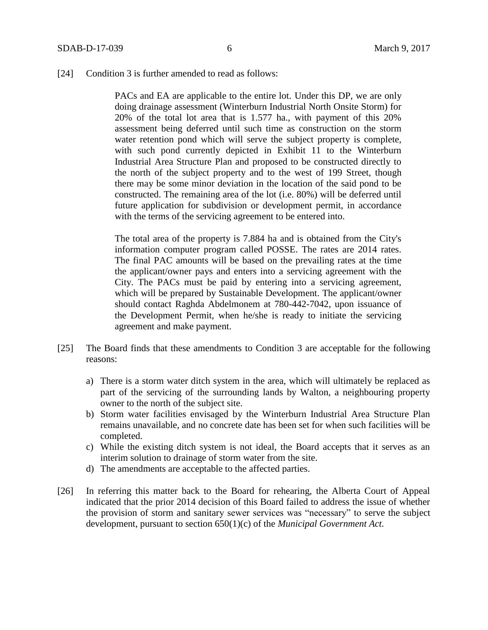[24] Condition 3 is further amended to read as follows:

PACs and EA are applicable to the entire lot. Under this DP, we are only doing drainage assessment (Winterburn Industrial North Onsite Storm) for 20% of the total lot area that is 1.577 ha., with payment of this 20% assessment being deferred until such time as construction on the storm water retention pond which will serve the subject property is complete, with such pond currently depicted in Exhibit 11 to the Winterburn Industrial Area Structure Plan and proposed to be constructed directly to the north of the subject property and to the west of 199 Street, though there may be some minor deviation in the location of the said pond to be constructed. The remaining area of the lot (i.e. 80%) will be deferred until future application for subdivision or development permit, in accordance with the terms of the servicing agreement to be entered into.

The total area of the property is 7.884 ha and is obtained from the City's information computer program called POSSE. The rates are 2014 rates. The final PAC amounts will be based on the prevailing rates at the time the applicant/owner pays and enters into a servicing agreement with the City. The PACs must be paid by entering into a servicing agreement, which will be prepared by Sustainable Development. The applicant/owner should contact Raghda Abdelmonem at 780-442-7042, upon issuance of the Development Permit, when he/she is ready to initiate the servicing agreement and make payment.

- [25] The Board finds that these amendments to Condition 3 are acceptable for the following reasons:
	- a) There is a storm water ditch system in the area, which will ultimately be replaced as part of the servicing of the surrounding lands by Walton, a neighbouring property owner to the north of the subject site.
	- b) Storm water facilities envisaged by the Winterburn Industrial Area Structure Plan remains unavailable, and no concrete date has been set for when such facilities will be completed.
	- c) While the existing ditch system is not ideal, the Board accepts that it serves as an interim solution to drainage of storm water from the site.
	- d) The amendments are acceptable to the affected parties.
- [26] In referring this matter back to the Board for rehearing, the Alberta Court of Appeal indicated that the prior 2014 decision of this Board failed to address the issue of whether the provision of storm and sanitary sewer services was "necessary" to serve the subject development, pursuant to section 650(1)(c) of the *Municipal Government Act.*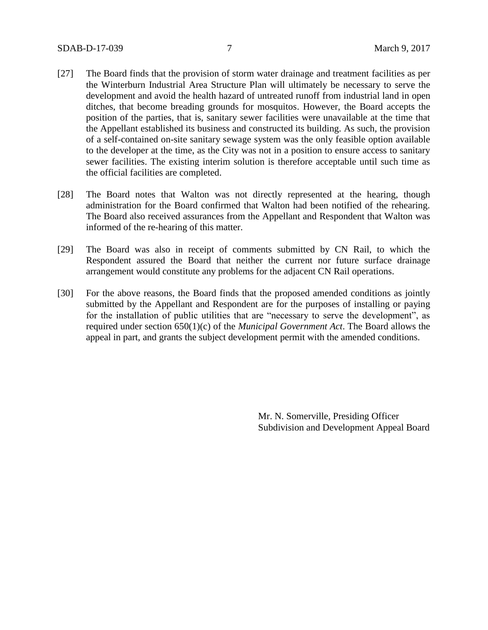- [27] The Board finds that the provision of storm water drainage and treatment facilities as per the Winterburn Industrial Area Structure Plan will ultimately be necessary to serve the development and avoid the health hazard of untreated runoff from industrial land in open ditches, that become breading grounds for mosquitos. However, the Board accepts the position of the parties, that is, sanitary sewer facilities were unavailable at the time that the Appellant established its business and constructed its building. As such, the provision of a self-contained on-site sanitary sewage system was the only feasible option available to the developer at the time, as the City was not in a position to ensure access to sanitary sewer facilities. The existing interim solution is therefore acceptable until such time as the official facilities are completed.
- [28] The Board notes that Walton was not directly represented at the hearing, though administration for the Board confirmed that Walton had been notified of the rehearing. The Board also received assurances from the Appellant and Respondent that Walton was informed of the re-hearing of this matter.
- [29] The Board was also in receipt of comments submitted by CN Rail, to which the Respondent assured the Board that neither the current nor future surface drainage arrangement would constitute any problems for the adjacent CN Rail operations.
- [30] For the above reasons, the Board finds that the proposed amended conditions as jointly submitted by the Appellant and Respondent are for the purposes of installing or paying for the installation of public utilities that are "necessary to serve the development", as required under section 650(1)(c) of the *Municipal Government Act*. The Board allows the appeal in part, and grants the subject development permit with the amended conditions.

Mr. N. Somerville, Presiding Officer Subdivision and Development Appeal Board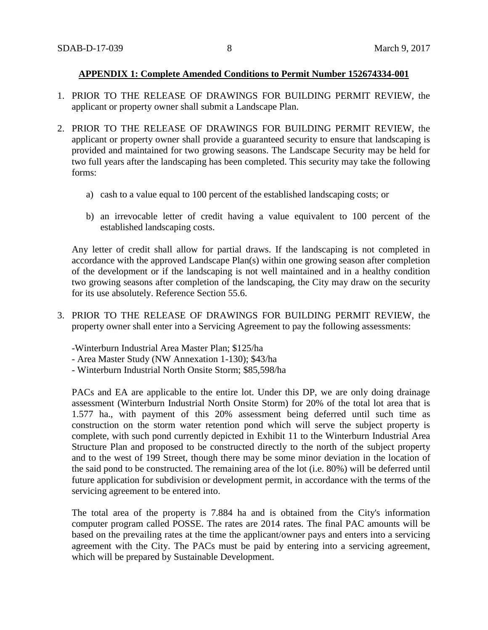### **APPENDIX 1: Complete Amended Conditions to Permit Number 152674334-001**

- 1. PRIOR TO THE RELEASE OF DRAWINGS FOR BUILDING PERMIT REVIEW, the applicant or property owner shall submit a Landscape Plan.
- 2. PRIOR TO THE RELEASE OF DRAWINGS FOR BUILDING PERMIT REVIEW, the applicant or property owner shall provide a guaranteed security to ensure that landscaping is provided and maintained for two growing seasons. The Landscape Security may be held for two full years after the landscaping has been completed. This security may take the following forms:
	- a) cash to a value equal to 100 percent of the established landscaping costs; or
	- b) an irrevocable letter of credit having a value equivalent to 100 percent of the established landscaping costs.

Any letter of credit shall allow for partial draws. If the landscaping is not completed in accordance with the approved Landscape Plan(s) within one growing season after completion of the development or if the landscaping is not well maintained and in a healthy condition two growing seasons after completion of the landscaping, the City may draw on the security for its use absolutely. Reference Section 55.6.

3. PRIOR TO THE RELEASE OF DRAWINGS FOR BUILDING PERMIT REVIEW, the property owner shall enter into a Servicing Agreement to pay the following assessments:

-Winterburn Industrial Area Master Plan; \$125/ha

- Area Master Study (NW Annexation 1-130); \$43/ha
- Winterburn Industrial North Onsite Storm; \$85,598/ha

PACs and EA are applicable to the entire lot. Under this DP, we are only doing drainage assessment (Winterburn Industrial North Onsite Storm) for 20% of the total lot area that is 1.577 ha., with payment of this 20% assessment being deferred until such time as construction on the storm water retention pond which will serve the subject property is complete, with such pond currently depicted in Exhibit 11 to the Winterburn Industrial Area Structure Plan and proposed to be constructed directly to the north of the subject property and to the west of 199 Street, though there may be some minor deviation in the location of the said pond to be constructed. The remaining area of the lot (i.e. 80%) will be deferred until future application for subdivision or development permit, in accordance with the terms of the servicing agreement to be entered into.

The total area of the property is 7.884 ha and is obtained from the City's information computer program called POSSE. The rates are 2014 rates. The final PAC amounts will be based on the prevailing rates at the time the applicant/owner pays and enters into a servicing agreement with the City. The PACs must be paid by entering into a servicing agreement, which will be prepared by Sustainable Development.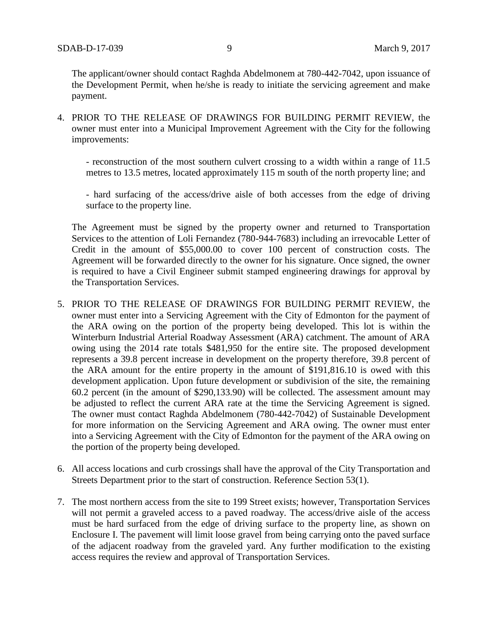The applicant/owner should contact Raghda Abdelmonem at 780-442-7042, upon issuance of the Development Permit, when he/she is ready to initiate the servicing agreement and make payment.

4. PRIOR TO THE RELEASE OF DRAWINGS FOR BUILDING PERMIT REVIEW, the owner must enter into a Municipal Improvement Agreement with the City for the following improvements:

- reconstruction of the most southern culvert crossing to a width within a range of 11.5 metres to 13.5 metres, located approximately 115 m south of the north property line; and

- hard surfacing of the access/drive aisle of both accesses from the edge of driving surface to the property line.

The Agreement must be signed by the property owner and returned to Transportation Services to the attention of Loli Fernandez (780-944-7683) including an irrevocable Letter of Credit in the amount of \$55,000.00 to cover 100 percent of construction costs. The Agreement will be forwarded directly to the owner for his signature. Once signed, the owner is required to have a Civil Engineer submit stamped engineering drawings for approval by the Transportation Services.

- 5. PRIOR TO THE RELEASE OF DRAWINGS FOR BUILDING PERMIT REVIEW, the owner must enter into a Servicing Agreement with the City of Edmonton for the payment of the ARA owing on the portion of the property being developed. This lot is within the Winterburn Industrial Arterial Roadway Assessment (ARA) catchment. The amount of ARA owing using the 2014 rate totals \$481,950 for the entire site. The proposed development represents a 39.8 percent increase in development on the property therefore, 39.8 percent of the ARA amount for the entire property in the amount of \$191,816.10 is owed with this development application. Upon future development or subdivision of the site, the remaining 60.2 percent (in the amount of \$290,133.90) will be collected. The assessment amount may be adjusted to reflect the current ARA rate at the time the Servicing Agreement is signed. The owner must contact Raghda Abdelmonem (780-442-7042) of Sustainable Development for more information on the Servicing Agreement and ARA owing. The owner must enter into a Servicing Agreement with the City of Edmonton for the payment of the ARA owing on the portion of the property being developed.
- 6. All access locations and curb crossings shall have the approval of the City Transportation and Streets Department prior to the start of construction. Reference Section 53(1).
- 7. The most northern access from the site to 199 Street exists; however, Transportation Services will not permit a graveled access to a paved roadway. The access/drive aisle of the access must be hard surfaced from the edge of driving surface to the property line, as shown on Enclosure I. The pavement will limit loose gravel from being carrying onto the paved surface of the adjacent roadway from the graveled yard. Any further modification to the existing access requires the review and approval of Transportation Services.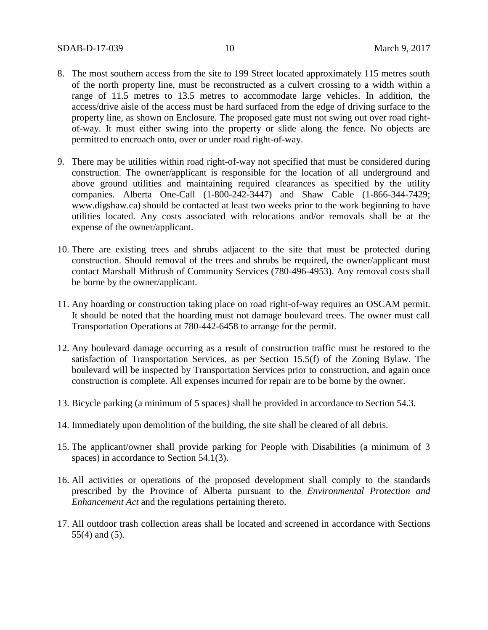- 8. The most southern access from the site to 199 Street located approximately 115 metres south of the north property line, must be reconstructed as a culvert crossing to a width within a range of 11.5 metres to 13.5 metres to accommodate large vehicles. In addition, the access/drive aisle of the access must be hard surfaced from the edge of driving surface to the property line, as shown on Enclosure. The proposed gate must not swing out over road rightof-way. It must either swing into the property or slide along the fence. No objects are permitted to encroach onto, over or under road right-of-way.
- 9. There may be utilities within road right-of-way not specified that must be considered during construction. The owner/applicant is responsible for the location of all underground and above ground utilities and maintaining required clearances as specified by the utility companies. Alberta One-Call (1-800-242-3447) and Shaw Cable (1-866-344-7429; www.digshaw.ca) should be contacted at least two weeks prior to the work beginning to have utilities located. Any costs associated with relocations and/or removals shall be at the expense of the owner/applicant.
- 10. There are existing trees and shrubs adjacent to the site that must be protected during construction. Should removal of the trees and shrubs be required, the owner/applicant must contact Marshall Mithrush of Community Services (780-496-4953). Any removal costs shall be borne by the owner/applicant.
- 11. Any hoarding or construction taking place on road right-of-way requires an OSCAM permit. It should be noted that the hoarding must not damage boulevard trees. The owner must call Transportation Operations at 780-442-6458 to arrange for the permit.
- 12. Any boulevard damage occurring as a result of construction traffic must be restored to the satisfaction of Transportation Services, as per Section 15.5(f) of the Zoning Bylaw. The boulevard will be inspected by Transportation Services prior to construction, and again once construction is complete. All expenses incurred for repair are to be borne by the owner.
- 13. Bicycle parking (a minimum of 5 spaces) shall be provided in accordance to Section 54.3.
- 14. Immediately upon demolition of the building, the site shall be cleared of all debris.
- 15. The applicant/owner shall provide parking for People with Disabilities (a minimum of 3 spaces) in accordance to Section 54.1(3).
- 16. All activities or operations of the proposed development shall comply to the standards prescribed by the Province of Alberta pursuant to the *Environmental Protection and Enhancement Act* and the regulations pertaining thereto.
- 17. All outdoor trash collection areas shall be located and screened in accordance with Sections 55(4) and (5).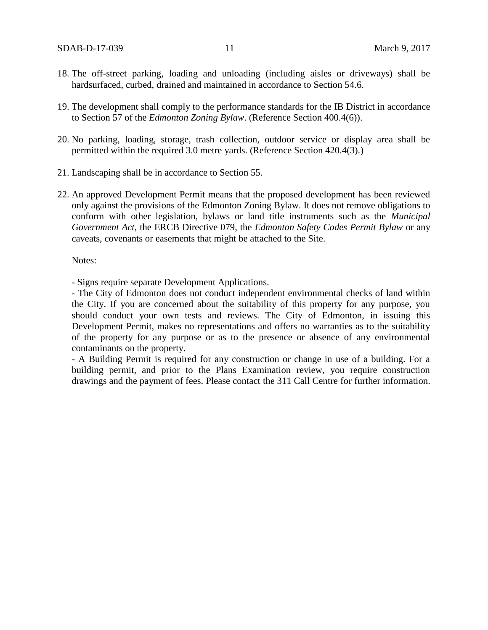- 18. The off-street parking, loading and unloading (including aisles or driveways) shall be hardsurfaced, curbed, drained and maintained in accordance to Section 54.6.
- 19. The development shall comply to the performance standards for the IB District in accordance to Section 57 of the *Edmonton Zoning Bylaw*. (Reference Section 400.4(6)).
- 20. No parking, loading, storage, trash collection, outdoor service or display area shall be permitted within the required 3.0 metre yards. (Reference Section 420.4(3).)
- 21. Landscaping shall be in accordance to Section 55.
- 22. An approved Development Permit means that the proposed development has been reviewed only against the provisions of the Edmonton Zoning Bylaw. It does not remove obligations to conform with other legislation, bylaws or land title instruments such as the *Municipal Government Act*, the ERCB Directive 079, the *Edmonton Safety Codes Permit Bylaw* or any caveats, covenants or easements that might be attached to the Site.

Notes:

- Signs require separate Development Applications.

- The City of Edmonton does not conduct independent environmental checks of land within the City. If you are concerned about the suitability of this property for any purpose, you should conduct your own tests and reviews. The City of Edmonton, in issuing this Development Permit, makes no representations and offers no warranties as to the suitability of the property for any purpose or as to the presence or absence of any environmental contaminants on the property.

- A Building Permit is required for any construction or change in use of a building. For a building permit, and prior to the Plans Examination review, you require construction drawings and the payment of fees. Please contact the 311 Call Centre for further information.